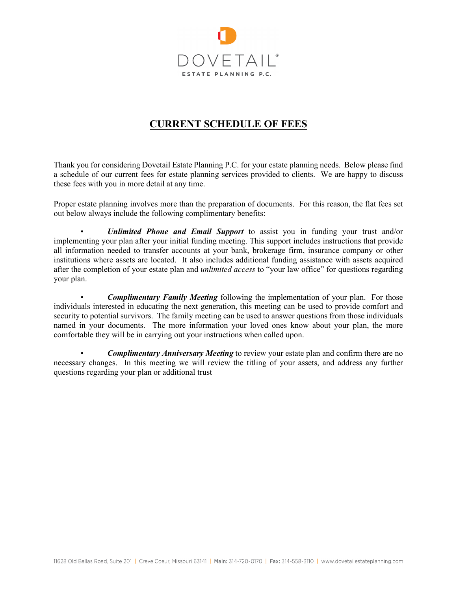

# **CURRENT SCHEDULE OF FEES**

Thank you for considering Dovetail Estate Planning P.C. for your estate planning needs. Below please find a schedule of our current fees for estate planning services provided to clients. We are happy to discuss these fees with you in more detail at any time.

Proper estate planning involves more than the preparation of documents. For this reason, the flat fees set out below always include the following complimentary benefits:

• *Unlimited Phone and Email Support* to assist you in funding your trust and/or implementing your plan after your initial funding meeting. This support includes instructions that provide all information needed to transfer accounts at your bank, brokerage firm, insurance company or other institutions where assets are located. It also includes additional funding assistance with assets acquired after the completion of your estate plan and *unlimited access* to "your law office" for questions regarding your plan.

• *Complimentary Family Meeting* following the implementation of your plan. For those individuals interested in educating the next generation, this meeting can be used to provide comfort and security to potential survivors. The family meeting can be used to answer questions from those individuals named in your documents. The more information your loved ones know about your plan, the more comfortable they will be in carrying out your instructions when called upon.

• *Complimentary Anniversary Meeting* to review your estate plan and confirm there are no necessary changes. In this meeting we will review the titling of your assets, and address any further questions regarding your plan or additional trust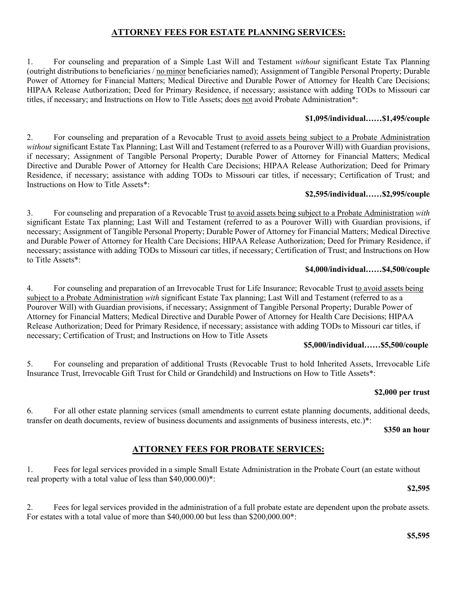## **ATTORNEY FEES FOR ESTATE PLANNING SERVICES:**

1. For counseling and preparation of a Simple Last Will and Testament *without* significant Estate Tax Planning (outright distributions to beneficiaries / no minor beneficiaries named); Assignment of Tangible Personal Property; Durable Power of Attorney for Financial Matters; Medical Directive and Durable Power of Attorney for Health Care Decisions; HIPAA Release Authorization; Deed for Primary Residence, if necessary; assistance with adding TODs to Missouri car titles, if necessary; and Instructions on How to Title Assets; does not avoid Probate Administration\*:

### **\$1,095/individual……\$1,495/couple**

2. For counseling and preparation of a Revocable Trust to avoid assets being subject to a Probate Administration *without* significant Estate Tax Planning; Last Will and Testament (referred to as a Pourover Will) with Guardian provisions, if necessary; Assignment of Tangible Personal Property; Durable Power of Attorney for Financial Matters; Medical Directive and Durable Power of Attorney for Health Care Decisions; HIPAA Release Authorization; Deed for Primary Residence, if necessary; assistance with adding TODs to Missouri car titles, if necessary; Certification of Trust; and Instructions on How to Title Assets\*:

#### **\$2,595/individual……\$2,995/couple**

3. For counseling and preparation of a Revocable Trust to avoid assets being subject to a Probate Administration *with* significant Estate Tax planning; Last Will and Testament (referred to as a Pourover Will) with Guardian provisions, if necessary; Assignment of Tangible Personal Property; Durable Power of Attorney for Financial Matters; Medical Directive and Durable Power of Attorney for Health Care Decisions; HIPAA Release Authorization; Deed for Primary Residence, if necessary; assistance with adding TODs to Missouri car titles, if necessary; Certification of Trust; and Instructions on How to Title Assets\*:

### **\$4,000/individual……\$4,500/couple**

4. For counseling and preparation of an Irrevocable Trust for Life Insurance; Revocable Trust to avoid assets being subject to a Probate Administration *with* significant Estate Tax planning; Last Will and Testament (referred to as a Pourover Will) with Guardian provisions, if necessary; Assignment of Tangible Personal Property; Durable Power of Attorney for Financial Matters; Medical Directive and Durable Power of Attorney for Health Care Decisions; HIPAA Release Authorization; Deed for Primary Residence, if necessary; assistance with adding TODs to Missouri car titles, if necessary; Certification of Trust; and Instructions on How to Title Assets

#### **\$5,000/individual……\$5,500/couple**

5. For counseling and preparation of additional Trusts (Revocable Trust to hold Inherited Assets, Irrevocable Life Insurance Trust, Irrevocable Gift Trust for Child or Grandchild) and Instructions on How to Title Assets\*:

#### **\$2,000 per trust**

6. For all other estate planning services (small amendments to current estate planning documents, additional deeds, transfer on death documents, review of business documents and assignments of business interests, etc.)\*:

**\$350 an hour**

## **ATTORNEY FEES FOR PROBATE SERVICES:**

1. Fees for legal services provided in a simple Small Estate Administration in the Probate Court (an estate without real property with a total value of less than \$40,000.00)\*:

**\$2,595**

2. Fees for legal services provided in the administration of a full probate estate are dependent upon the probate assets. For estates with a total value of more than \$40,000.00 but less than \$200,000.00\*: